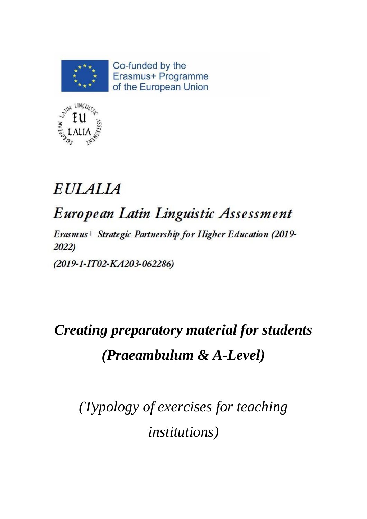

Co-funded by the Erasmus+ Programme of the European Union



# **EULALIA**

# European Latin Linguistic Assessment

Erasmus+ Strategic Partnership for Higher Education (2019- $2022)$ 

(2019-1-IT02-KA203-062286)

# *Creating preparatory material for students (Praeambulum & A-Level)*

*(Typology of exercises for teaching institutions)*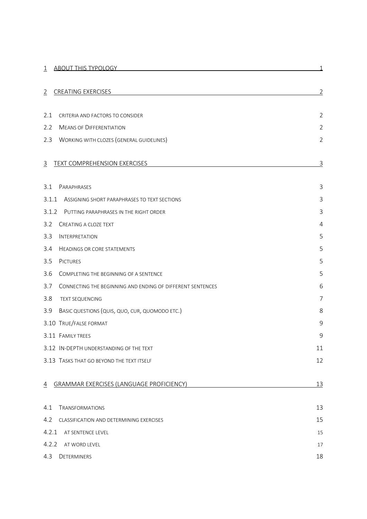| <b>ABOUT THIS TYPOLOGY</b><br>$\mathbf{1}$                               | 1              |
|--------------------------------------------------------------------------|----------------|
|                                                                          |                |
| <b>CREATING EXERCISES</b><br>2                                           | $\overline{2}$ |
|                                                                          |                |
| 2.1<br>CRITERIA AND FACTORS TO CONSIDER                                  | $\overline{2}$ |
| 2.2<br><b>MEANS OF DIFFERENTIATION</b>                                   | $\overline{2}$ |
| 2.3<br><b>WORKING WITH CLOZES (GENERAL GUIDELINES)</b>                   | $\overline{2}$ |
|                                                                          |                |
| TEXT COMPREHENSION EXERCISES<br>3                                        | $\overline{3}$ |
| 3.1<br>PARAPHRASES                                                       | 3              |
| 3.1.1<br>ASSIGNING SHORT PARAPHRASES TO TEXT SECTIONS                    | $\mathsf 3$    |
|                                                                          | 3              |
| 3.1.2<br>PUTTING PARAPHRASES IN THE RIGHT ORDER<br>CREATING A CLOZE TEXT |                |
| 3.2                                                                      | 4              |
| 3.3<br><b>INTERPRETATION</b>                                             | 5              |
| 3.4<br><b>HEADINGS OR CORE STATEMENTS</b>                                | 5              |
| 3.5<br><b>PICTURES</b>                                                   | 5              |
| 3.6<br>COMPLETING THE BEGINNING OF A SENTENCE                            | 5              |
| 3.7<br>CONNECTING THE BEGINNING AND ENDING OF DIFFERENT SENTENCES        | 6              |
| 3.8<br><b>TEXT SEQUENCING</b>                                            | 7              |
| 3.9<br>BASIC QUESTIONS (QUIS, QUO, CUR, QUOMODO ETC.)                    | 8              |
| 3.10 TRUE/FALSE FORMAT                                                   | 9              |
| 3.11 FAMILY TREES                                                        | 9              |
| 3.12 IN-DEPTH UNDERSTANDING OF THE TEXT                                  | 11             |
| 3.13 TASKS THAT GO BEYOND THE TEXT ITSELF                                | 12             |
|                                                                          |                |
| <b>GRAMMAR EXERCISES (LANGUAGE PROFICIENCY)</b><br>4                     | 13             |
| <b>TRANSFORMATIONS</b><br>4.1                                            | 13             |
| 4.2<br>CLASSIFICATION AND DETERMINING EXERCISES                          | 15             |
| 4.2.1<br>AT SENTENCE LEVEL                                               | 15             |
| 4.2.2<br>AT WORD LEVEL                                                   | 17             |
| 4.3<br>DETERMINERS                                                       | 18             |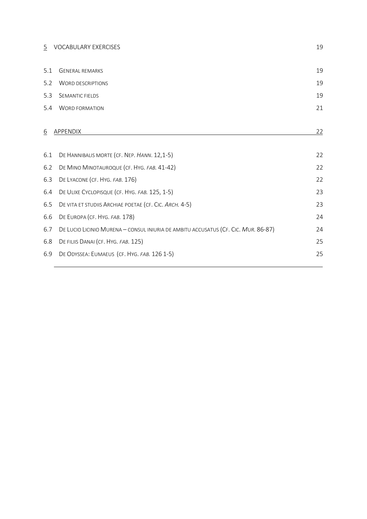| 5               | VOCABULARY EXERCISES                                                               | 19 |
|-----------------|------------------------------------------------------------------------------------|----|
| 5.1             | <b>GENERAL REMARKS</b>                                                             | 19 |
| 5.2             | <b>WORD DESCRIPTIONS</b>                                                           | 19 |
| 5.3             | SEMANTIC FIELDS                                                                    | 19 |
| 5.4             | <b>WORD FORMATION</b>                                                              | 21 |
| $\underline{6}$ | APPENDIX                                                                           | 22 |
| 6.1             | DE HANNIBALIS MORTE (CF. NEP. HANN. 12,1-5)                                        | 22 |
| 6.2             | DE MINO MINOTAUROQUE (CF. HYG. FAB. 41-42)                                         | 22 |
| 6.3             | DE LYACONE (CF. HYG. FAB. 176)                                                     | 22 |
| 6.4             | DE ULIXE CYCLOPISQUE (CF. HYG. FAB. 125, 1-5)                                      | 23 |
| 6.5             | DE VITA ET STUDIIS ARCHIAE POETAE (CF. CIC. ARCH. 4-5)                             | 23 |
| 6.6             | DE EUROPA (CF. HYG. FAB. 178)                                                      | 24 |
| 6.7             | DE LUCIO LICINIO MURENA - CONSUL INIURIA DE AMBITU ACCUSATUS (CF. CIC. MUR. 86-87) | 24 |
| 6.8             | DE FILIIS DANAI (CF. HYG. FAB. 125)                                                | 25 |
| 6.9             | DE ODYSSEA: EUMAEUS (CF. HYG. FAB. 126 1-5)                                        | 25 |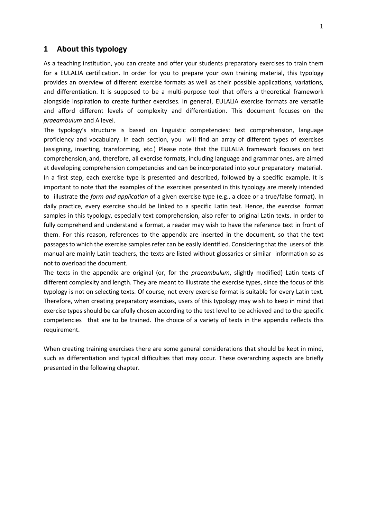# <span id="page-3-0"></span>**1 About this typology**

As a teaching institution, you can create and offer your students preparatory exercises to train them for a EULALIA certification. In order for you to prepare your own training material, this typology provides an overview of different exercise formats as well as their possible applications, variations, and differentiation. It is supposed to be a multi-purpose tool that offers a theoretical framework alongside inspiration to create further exercises. In general, EULALIA exercise formats are versatile and afford different levels of complexity and differentiation. This document focuses on the *praeambulum* and A level.

The typology's structure is based on linguistic competencies: text comprehension, language proficiency and vocabulary. In each section, you will find an array of different types of exercises (assigning, inserting, transforming, etc.) Please note that the EULALIA framework focuses on text comprehension, and, therefore, all exercise formats, including language and grammar ones, are aimed at developing comprehension competencies and can be incorporated into your preparatory material. In a first step, each exercise type is presented and described, followed by a specific example. It is important to note that the examples of the exercises presented in this typology are merely intended to illustrate the *form and application* of a given exercise type (e.g., a cloze or a true/false format). In daily practice, every exercise should be linked to a specific Latin text. Hence, the exercise format samples in this typology, especially text comprehension, also refer to original Latin texts. In order to fully comprehend and understand a format, a reader may wish to have the reference text in front of them. For this reason, references to the appendix are inserted in the document, so that the text passages to which the exercise samples refer can be easily identified. Considering that the users of this manual are mainly Latin teachers, the texts are listed without glossaries or similar information so as not to overload the document.

The texts in the appendix are original (or, for the *praeambulum*, slightly modified) Latin texts of different complexity and length. They are meant to illustrate the exercise types, since the focus of this typology is not on selecting texts. Of course, not every exercise format is suitable for every Latin text. Therefore, when creating preparatory exercises, users of this typology may wish to keep in mind that exercise types should be carefully chosen according to the test level to be achieved and to the specific competencies that are to be trained. The choice of a variety of texts in the appendix reflects this requirement.

When creating training exercises there are some general considerations that should be kept in mind, such as differentiation and typical difficulties that may occur. These overarching aspects are briefly presented in the following chapter.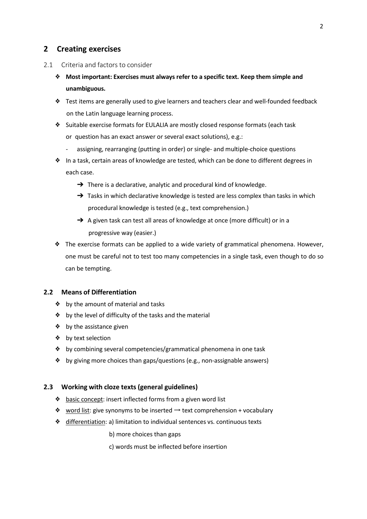# <span id="page-4-0"></span>**2 Creating exercises**

- <span id="page-4-1"></span>2.1 Criteria and factors to consider
	- ❖ **Most important: Exercises must always refer to a specific text. Keep them simple and unambiguous.**
	- ❖ Test items are generally used to give learners and teachers clear and well-founded feedback on the Latin language learning process.
	- ❖ Suitable exercise formats for EULALIA are mostly closed response formats (each task or question has an exact answer or several exact solutions), e.g.:
		- assigning, rearranging (putting in order) or single- and multiple-choice questions
	- ❖ In a task, certain areas of knowledge are tested, which can be done to different degrees in each case.
		- $\rightarrow$  There is a declarative, analytic and procedural kind of knowledge.
		- $\rightarrow$  Tasks in which declarative knowledge is tested are less complex than tasks in which procedural knowledge is tested (e.g., text comprehension.)
		- → A given task can test all areas of knowledge at once (more difficult) or in a progressive way (easier.)
	- ❖ The exercise formats can be applied to a wide variety of grammatical phenomena. However, one must be careful not to test too many competencies in a single task, even though to do so can be tempting.

# <span id="page-4-2"></span>**2.2 Means of Differentiation**

- ❖ by the amount of material and tasks
- ❖ by the level of difficulty of the tasks and the material
- ❖ by the assistance given
- ❖ by text selection
- ❖ by combining several competencies/grammatical phenomena in one task
- ❖ by giving more choices than gaps/questions (e.g., non-assignable answers)

# <span id="page-4-3"></span>**2.3 Working with cloze texts (general guidelines)**

- ❖ basic concept: insert inflected forms from a given word list
- ❖ word list: give synonyms to be inserted → text comprehension + vocabulary
- ❖ differentiation: a) limitation to individual sentences vs. continuous texts
	- b) more choices than gaps
	- c) words must be inflected before insertion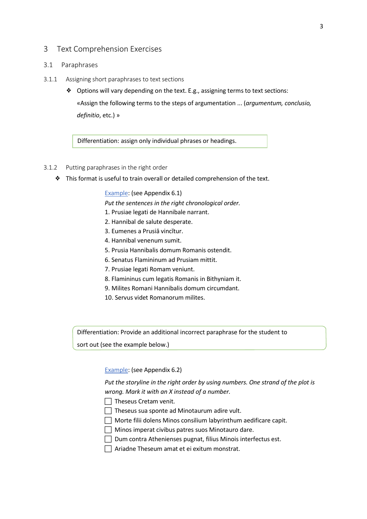# <span id="page-5-0"></span>3 Text Comprehension Exercises

## <span id="page-5-1"></span>3.1 Paraphrases

- <span id="page-5-2"></span>3.1.1 Assigning short paraphrases to text sections
	- ❖ Options will vary depending on the text. E.g., assigning terms to text sections: «Assign the following terms to the steps of argumentation ... (*argumentum, conclusio, definitio*, etc.) »

Differentiation: assign only individual phrases or headings.

#### <span id="page-5-3"></span>3.1.2 Putting paraphrases in the right order

❖ This format is useful to train overall or detailed comprehension of the text.

## Example: (see Appendix [6.1\)](#page-25-1)

*Put the sentences in the right chronological order.*

- 1. Prusiae legati de Hannibale narrant.
- 2. Hannibal de salute desperate.
- 3. Eumenes a Prusiā vincĭtur.
- 4. Hannibal venenum sumit.
- 5. Prusia Hannibalis domum Romanis ostendit.
- 6. Senatus Flamininum ad Prusiam mittit.
- 7. Prusiae legati Romam veniunt.
- 8. Flamininus cum legatis Romanis in Bithyniam it.
- 9. Milites Romani Hannibalis domum circumdant.
- 10. Servus videt Romanorum milites.

Differentiation: Provide an additional incorrect paraphrase for the student to

sort out (see the example below.)

# Example: (see Appendix [6.2\)](#page-25-2)

*Put the storyline in the right order by using numbers. One strand of the plot is wrong. Mark it with an X instead of a number.*

 $\Box$  Theseus Cretam venit.

 $\Box$  Theseus sua sponte ad Minotaurum adire vult.

- $\Box$  Morte filii dolens Minos consilium labyrinthum aedificare capit.
- $\Box$  Minos imperat civibus patres suos Minotauro dare.
- $\Box$  Dum contra Athenienses pugnat, filius Minois interfectus est.
- $\Box$  Ariadne Theseum amat et ei exitum monstrat.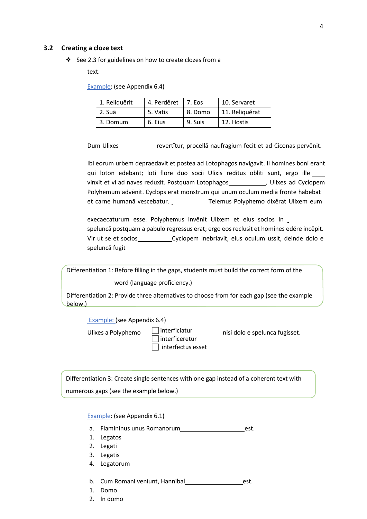### <span id="page-6-0"></span>**3.2 Creating a cloze text**

❖ See [2.3](#page-4-3) for guidelines on how to create clozes from a

text.

Example: (see Appendix [6.4\)](#page-26-0)

| 1. Reliquěrit | 4. Perděret   7. Eos |         | 10. Servaret   |
|---------------|----------------------|---------|----------------|
| 2. Suā        | 5. Vatis             | 8. Domo | 11. Reliquěrat |
| 3. Domum      | 6. Eius              | 9. Suis | 12. Hostis     |

Dum Ulixes revertĭtur, procellā naufragium fecit et ad Ciconas pervēnit.

Ibi eorum urbem depraedavit et postea ad Lotophagos navigavit. Ii homines boni erant qui loton edebant; loti flore duo socii Ulixis reditus obliti sunt, ergo ille vinxit et vi ad naves reduxit. Postquam Lotophagos\_\_\_\_\_\_\_\_\_\_\_\_\_, Ulixes ad Cyclopem Polyhemum advēnit. Cyclops erat monstrum qui unum oculum mediā fronte habebat et carne humanā vescebatur. Telemus Polyphemo dixĕrat Ulixem eum

execaecaturum esse. Polyphemus invēnit Ulixem et eius socios in speluncā postquam a pabulo regressus erat; ergo eos reclusit et homines edĕre incēpit. Vir ut se et socios \_\_\_\_\_\_\_\_\_\_\_\_\_\_\_Cyclopem inebriavit, eius oculum ussit, deinde dolo e speluncā fugit

Differentiation 1: Before filling in the gaps, students must build the correct form of the word (language proficiency.)

Differentiation 2: Provide three alternatives to choose from for each gap (see the example below.)

Example: (see Appendix [6.4\)](#page-26-0)

Ulixes a Polyphemo  $\Box$  interficiatur

 $\sqsupset$ interficeretur  $\Box$  interfectus esset

nisi dolo e spelunca fugisset.

Differentiation 3: Create single sentences with one gap instead of a coherent text with numerous gaps (see the example below.)

Example: (see Appendix [6.1\)](#page-25-1)

- a. Flamininus unus Romanorum est.
- 1. Legatos
- 2. Legati
- 3. Legatis
- 4. Legatorum
- b. Cum Romani veniunt, Hannibal est.
- 1. Domo
- 2. In domo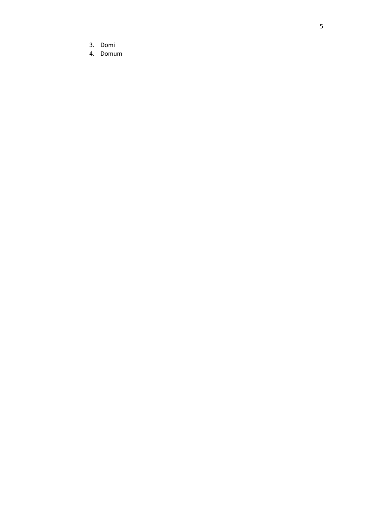- 3. Domi
- 4. Domum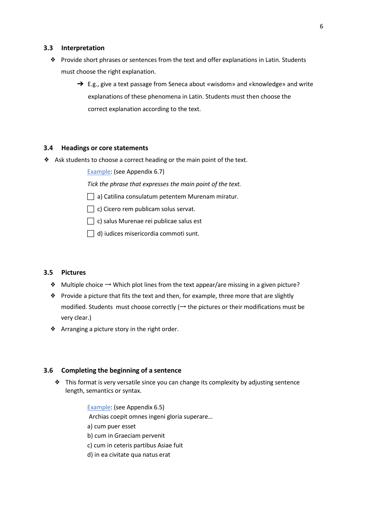#### <span id="page-8-0"></span>**3.3 Interpretation**

- ❖ Provide short phrases or sentences from the text and offer explanations in Latin. Students must choose the right explanation.
	- → E.g., give a text passage from Seneca about «wisdom» and «knowledge» and write explanations of these phenomena in Latin. Students must then choose the correct explanation according to the text.

#### <span id="page-8-1"></span>**3.4 Headings or core statements**

❖ Ask students to choose a correct heading or the main point of the text.

Example: (see Appendix [6.7\)](#page-27-1)

*Tick the phrase that expresses the main point of the text.*

- $\Box$  a) Catilina consulatum petentem Murenam miratur.
- $\Box$  c) Cicero rem publicam solus servat.
- $\Box$  c) salus Murenae rei publicae salus est
- $\Box$  d) iudices misericordia commoti sunt.

## <span id="page-8-2"></span>**3.5 Pictures**

- ❖ Multiple choice → Which plot lines from the text appear/are missing in a given picture?
- ❖ Provide a picture that fits the text and then, for example, three more that are slightly modified. Students must choose correctly ( $\rightarrow$  the pictures or their modifications must be very clear.)
- ❖ Arranging a picture story in the right order.

# <span id="page-8-3"></span>**3.6 Completing the beginning of a sentence**

❖ This format is very versatile since you can change its complexity by adjusting sentence length, semantics or syntax.

> Example: (see Appendix [6.5\)](#page-26-1) Archias coepit omnes ingeni gloria superare… a) cum puer esset b) cum in Graeciam pervenit c) cum in ceteris partibus Asiae fuit d) in ea civitate qua natus erat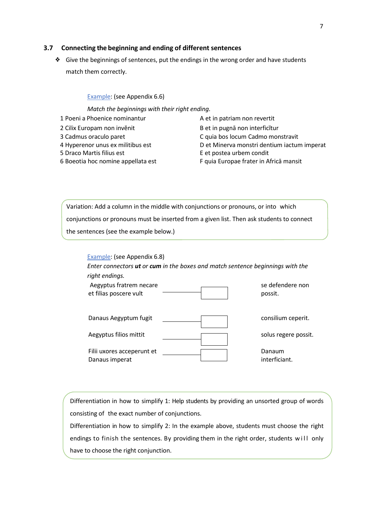# <span id="page-9-0"></span>**3.7 Connecting the beginning and ending of different sentences**

❖ Give the beginnings of sentences, put the endings in the wrong order and have students match them correctly.

Example: (see Appendix [6.6\)](#page-27-0)

Filii uxores acceperunt et

Danaus imperat

*Match the beginnings with their right ending.*

- 1 Poeni a Phoenice nominantur A et in patriam non revertit
- 
- 
- 
- 
- 6 Boeotia hoc nomine appellata est F quia Europae frater in Africā mansit

2 Cilix Europam non invěnit B et in pugnā non interficitur 3 Cadmus oraculo paret C quia bos locum Cadmo monstravit 4 Hyperenor unus ex militibus est Det Minerva monstri dentium iactum imperat 5 Draco Martis filius est E et postea urbem condit

> Danaum interficiant.

Variation: Add a column in the middle with conjunctions or pronouns, or into which conjunctions or pronouns must be inserted from a given list. Then ask students to connect the sentences (see the example below.)

| Example: (see Appendix 6.8)<br>Enter connectors <b>ut</b> or cum in the boxes and match sentence beginnings with the |                             |
|----------------------------------------------------------------------------------------------------------------------|-----------------------------|
| right endings.                                                                                                       |                             |
| Aegyptus fratrem necare<br>et filias poscere vult                                                                    | se defendere non<br>possit. |
| Danaus Aegyptum fugit                                                                                                | consilium ceperit.          |
| Aegyptus filios mittit                                                                                               | solus regere possit.        |

Differentiation in how to simplify 1: Help students by providing an unsorted group of words consisting of the exact number of conjunctions.

Differentiation in how to simplify 2: In the example above, students must choose the right endings to finish the sentences. By providing them in the right order, students will only have to choose the right conjunction.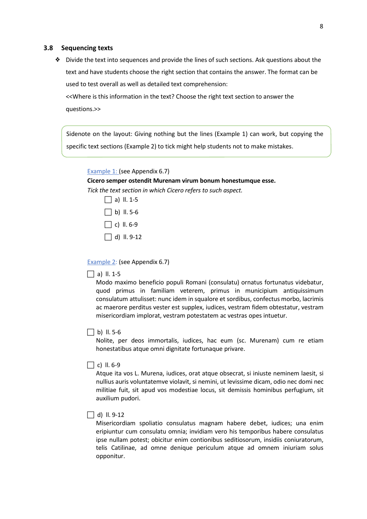#### <span id="page-10-0"></span>**3.8 Sequencing texts**

❖ Divide the text into sequences and provide the lines of such sections. Ask questions about the text and have students choose the right section that contains the answer. The format can be used to test overall as well as detailed text comprehension:

<<Where is this information in the text? Choose the right text section to answer the questions.>>

Sidenote on the layout: Giving nothing but the lines (Example 1) can work, but copying the specific text sections (Example 2) to tick might help students not to make mistakes.

Example 1: (see Appendix [6.7\)](#page-27-1)

#### **Cicero semper ostendit Murenam virum bonum honestumque esse.**

*Tick the text section in which Cicero refers to such aspect.*



Example 2: (see Appendix [6.7\)](#page-27-1)

### $\Box$  a) II. 1-5

Modo maximo beneficio populi Romani (consulatu) ornatus fortunatus videbatur, quod primus in familiam veterem, primus in municipium antiquissimum consulatum attulisset: nunc idem in squalore et sordibus, confectus morbo, lacrimis ac maerore perditus vester est supplex, iudices, vestram fidem obtestatur, vestram misericordiam implorat, vestram potestatem ac vestras opes intuetur.

#### $\Box$  b) II. 5-6

Nolite, per deos immortalis, iudices, hac eum (sc. Murenam) cum re etiam honestatibus atque omni dignitate fortunaque privare.

#### $\Box$  c) II. 6-9

Atque ita vos L. Murena, iudices, orat atque obsecrat, si iniuste neminem laesit, si nullius auris voluntatemve violavit, si nemini, ut levissime dicam, odio nec domi nec militiae fuit, sit apud vos modestiae locus, sit demissis hominibus perfugium, sit auxilium pudori.

 $\Box$  d) II. 9-12

Misericordiam spoliatio consulatus magnam habere debet, iudices; una enim eripiuntur cum consulatu omnia; invidiam vero his temporibus habere consulatus ipse nullam potest; obicitur enim contionibus seditiosorum, insidiis coniuratorum, telis Catilinae, ad omne denique periculum atque ad omnem iniuriam solus opponitur.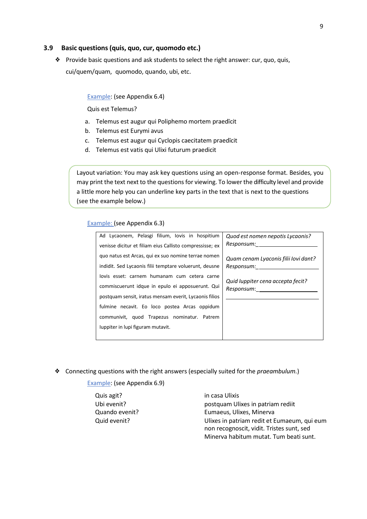#### <span id="page-11-0"></span>**3.9 Basic questions(quis, quo, cur, quomodo etc.)**

❖ Provide basic questions and ask students to select the right answer: cur, quo, quis, cui/quem/quam, quomodo, quando, ubi, etc.

#### Example: (see Appendix [6.4\)](#page-26-0)

Quis est Telemus?

- a. Telemus est augur qui Poliphemo mortem praedīcit
- b. Telemus est Eurymi avus
- c. Telemus est augur qui Cyclopis caecitatem praedīcit
- d. Telemus est vatis qui Ulixi futurum praedicit

Layout variation: You may ask key questions using an open-response format. Besides, you may print the text next to the questions for viewing. To lower the difficulty level and provide a little more help you can underline key parts in the text that is next to the questions (see the example below.)

#### Example: (see Appendix [6.3\)](#page-25-3)

| Ad Lycaonem, Pelasgi filium, Iovis in hospitium          | Quod est nomen nepotis Lycaonis?     |
|----------------------------------------------------------|--------------------------------------|
| venisse dicitur et filiam eius Callisto compressisse; ex | Responsum:                           |
| quo natus est Arcas, qui ex suo nomine terrae nomen      | Quam cenam Lyaconis filii Iovi dant? |
| indidit. Sed Lycaonis filii temptare voluerunt, deusne   | Responsum:                           |
| lovis esset: carnem humanam cum cetera carne             | Quid luppiter cena accepta fecit?    |
| commiscuerunt idque in epulo ei apposuerunt. Qui         | Responsum:________                   |
| postquam sensit, iratus mensam everit, Lycaonis filios   |                                      |
| fulmine necavit. Eo loco postea Arcas oppidum            |                                      |
| communivit, quod Trapezus nominatur. Patrem              |                                      |
| luppiter in lupi figuram mutavit.                        |                                      |
|                                                          |                                      |

❖ Connecting questions with the right answers (especially suited for the *praeambulum.*)

Example: (see Appendix [6.9\)](#page-28-1)

Quis agit? in casa Ulixis

Ubi evenit? **postquam Ulixes in patriam rediit** Quando evenit? Eumaeus, Ulixes, Minerva Quid evenit? Ulixes in patriam redit et Eumaeum, qui eum non recognoscit, vidit. Tristes sunt, sed Minerva habitum mutat. Tum beati sunt.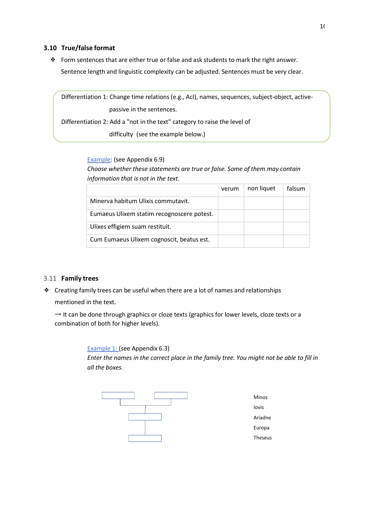# <span id="page-12-0"></span>**3.10 True/false format**

❖ Form sentences that are either true or false and ask students to mark the right answer. Sentence length and linguistic complexity can be adjusted. Sentences must be very clear.

Differentiation 1: Change time relations(e.g., AcI), names, sequences, subject-object, activepassive in the sentences. Differentiation 2: Add a "not in the text" category to raise the level of

difficulty (see the example below.)

# Example: (see Appendix [6.9\)](#page-28-1)

*Choose whether these statements are true or false. Some of them may contain information that is not in the text.*

|                                            | verum | non liquet | falsum |
|--------------------------------------------|-------|------------|--------|
| Minerva habitum Ulixis commutavit.         |       |            |        |
| Eumaeus Ulixem statim recognoscere potest. |       |            |        |
| Ulixes effigiem suam restituit.            |       |            |        |
| Cum Eumaeus Ulixem cognoscit, beatus est.  |       |            |        |

# <span id="page-12-1"></span>3.11 **Family trees**

❖ Creating family trees can be useful when there are a lot of names and relationships

mentioned in the text.

 $\rightarrow$  It can be done through graphics or cloze texts (graphics for lower levels, cloze texts or a combination of both for higher levels).

> Example 1: (see Appendix [6.3\)](#page-25-3) *Enter the names in the correct place in the family tree. You might not be able to fill in all the boxes.*

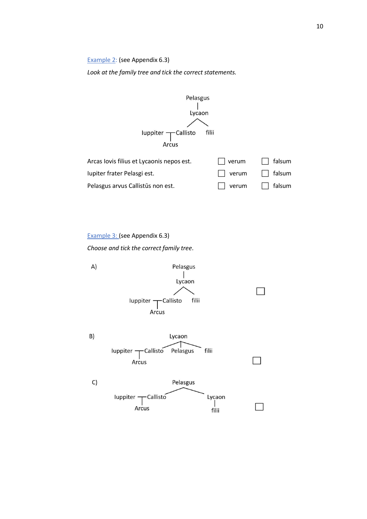Example 2: (see Appendix [6.3\)](#page-25-3)

*Look at the family tree and tick the correct statements.*



Example 3: (see Appendix [6.3\)](#page-25-3)

*Choose and tick the correct family tree*.

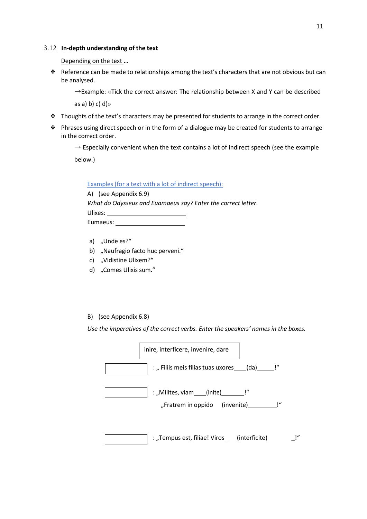#### <span id="page-14-0"></span>3.12 **In-depth understanding of the text**

Depending on the text...

❖ Reference can be made to relationships among the text's characters that are not obvious but can be analysed.

 $\rightarrow$ Example: «Tick the correct answer: The relationship between X and Y can be described

as a) b) c) d) $\infty$ 

- ❖ Thoughts of the text's characters may be presented for students to arrange in the correct order.
- ❖ Phrases using direct speech or in the form of a dialogue may be created for students to arrange in the correct order.

 $\rightarrow$  Especially convenient when the text contains a lot of indirect speech (see the example

below.)

Examples (for a text with a lot of indirect speech):

A) (see Appendix [6.9\)](#page-28-1) *What do Odysseus and Euamaeus say? Enter the correct letter.* Ulixes: Eumaeus: No. 1996

- a) "Unde es?"
- b) "Naufragio facto huc perveni."
- c) "Vidistine Ulixem?"
- d) "Comes Ulixis sum."
- B) (see Appendix [6.8\)](#page-28-0)

*Use the imperatives of the correct verbs. Enter the speakers' names in the boxes.*

| inire, interficere, invenire, dare                                     |    |
|------------------------------------------------------------------------|----|
| : "Filiis meis filias tuas uxores (da) [1                              |    |
| : "Milites, viam____(inite)________!"<br>"Fratrem in oppido (invenite) |    |
| : "Tempus est, filiae! Viros (interficite)                             | '' |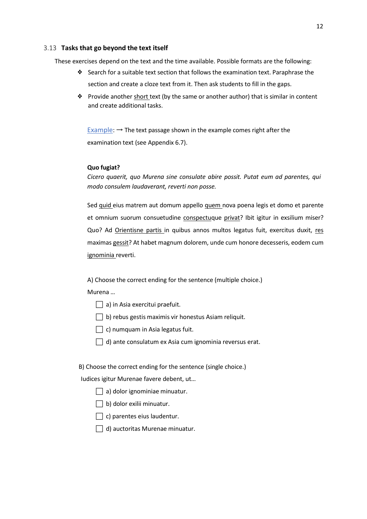# <span id="page-15-0"></span>3.13 **Tasks that go beyond the text itself**

These exercises depend on the text and the time available. Possible formats are the following:

- ❖ Search for a suitable text section that follows the examination text. Paraphrase the section and create a cloze text from it. Then ask students to fill in the gaps.
- ❖ Provide another short text (by the same or another author) that is similar in content and create additional tasks.

Example:  $\rightarrow$  The text passage shown in the example comes right after the examination text (see Appendix [6.7\)](#page-27-1).

#### **Quo fugiat?**

*Cicero quaerit, quo Murena sine consulate abire possit. Putat eum ad parentes, qui modo consulem laudaverant, reverti non posse.*

Sed quid eius matrem aut domum appello quem nova poena legis et domo et parente et omnium suorum consuetudine conspectuque privat? Ibit igitur in exsilium miser? Quo? Ad Orientisne partis in quibus annos multos legatus fuit, exercitus duxit, res maximas gessit? At habet magnum dolorem, unde cum honore decesseris, eodem cum ignominia reverti.

A) Choose the correct ending for the sentence (multiple choice.)

Murena …

 $\Box$  a) in Asia exercitui praefuit.

 $\Box$  b) rebus gestis maximis vir honestus Asiam reliquit.

 $\Box$  c) numquam in Asia legatus fuit.

 $\Box$  d) ante consulatum ex Asia cum ignominia reversus erat.

B) Choose the correct ending for the sentence (single choice.)

Iudices igitur Murenae favere debent, ut…

- $\Box$  a) dolor ignominiae minuatur.
- $\Box$  b) dolor exilii minuatur.
- $\Box$  c) parentes eius laudentur.
- $\Box$  d) auctoritas Murenae minuatur.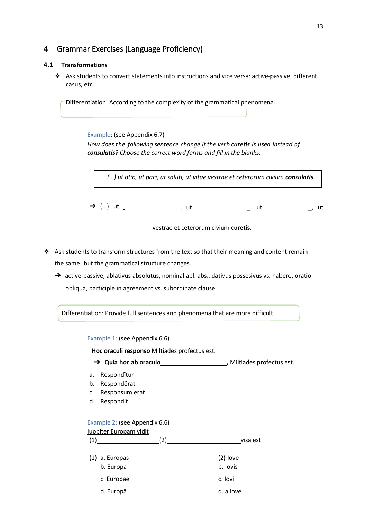# <span id="page-16-0"></span>4 Grammar Exercises (Language Proficiency)

## <span id="page-16-1"></span>**4.1 Transformations**

❖ Ask students to convert statements into instructions and vice versa: active-passive, different casus, etc.

Differentiation: According to the complexity of the grammatical phenomena.

#### Example: (see Appendix [6.7\)](#page-27-1)

*How does the following sentence change if the verb curetis is used instead of consulatis? Choose the correct word forms and fill in the blanks.*

*(…) ut otio, ut paci, ut saluti, ut vitae vestrae et ceterorum civium consulatis.*

 $\rightarrow$  (...) ut  $\rightarrow$  (...) ut  $\rightarrow$  ut , ut

vestrae et ceterorum civium **curetis**.

- ❖ Ask students to transform structures from the text so that their meaning and content remain the same but the grammatical structure changes.
	- → active-passive, ablativus absolutus, nominal abl. abs., dativus possesivus vs. habere, oratio obliqua, participle in agreement vs. subordinate clause

Differentiation: Provide full sentences and phenomena that are more difficult.

Example 1: (see Appendix [6.6\)](#page-27-0)

**Hoc oraculi responso** Miltiades profectus est.

- → Quia hoc ab oraculo<br>
→ Quia hoc ab oraculo<br>
<u>→</u> Miltiades profectus est.
- a. Respondĭtur
- b. Responděrat
- c. Responsum erat
- d. Respondit

#### Example 2: (see Appendix [6.6\)](#page-27-0)

| luppiter Europam vidit        |     |                        |
|-------------------------------|-----|------------------------|
| (1)                           | (2) | visa est               |
| $(1)$ a. Europas<br>b. Europa |     | $(2)$ love<br>b. Iovis |
| c. Europae                    |     | c. lovi                |
| d. Europā                     |     | d. a love              |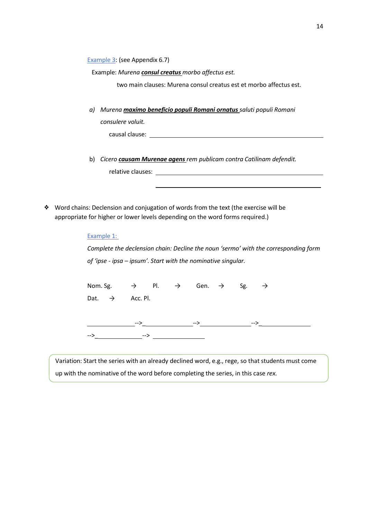Example 3: (see Appendix [6.7\)](#page-27-1)

Example: *Murena consul creatus morbo affectus est.*

two main clauses: Murena consul creatus est et morbo affectus est.

*a) Murena maximo beneficio populi Romani ornatus saluti populi Romani consulere voluit.*

causal clause: <u>causal clause:</u> causal clause: causal clause: causal clause: causal clause: causal clause: causal clause: causal clause: causal clause: causal clause: causal clause: causal clause: causal clause: causal cla

- b) *Cicero causam Murenae agens rem publicam contra Catilinam defendit.* relative clauses:
- ❖ Word chains: Declension and conjugation of words from the text (the exercise will be appropriate for higher or lower levels depending on the word forms required.)

| Example 1:                                                                    |     |  |     |     |                                                                                     |
|-------------------------------------------------------------------------------|-----|--|-----|-----|-------------------------------------------------------------------------------------|
|                                                                               |     |  |     |     | Complete the declension chain: Decline the noun 'sermo' with the corresponding form |
| of 'ipse - ipsa – ipsum'. Start with the nominative singular.                 |     |  |     |     |                                                                                     |
|                                                                               |     |  |     |     |                                                                                     |
| Nom. Sg. $\rightarrow$ Pl. $\rightarrow$ Gen. $\rightarrow$ Sg. $\rightarrow$ |     |  |     |     |                                                                                     |
| Dat. $\rightarrow$ Acc. Pl.                                                   |     |  |     |     |                                                                                     |
|                                                                               |     |  |     |     |                                                                                     |
|                                                                               | --> |  | --> | --> |                                                                                     |
| -->                                                                           |     |  |     |     |                                                                                     |

Variation: Start the series with an already declined word, e.g., rege, so that students must come up with the nominative of the word before completing the series, in this case *rex.*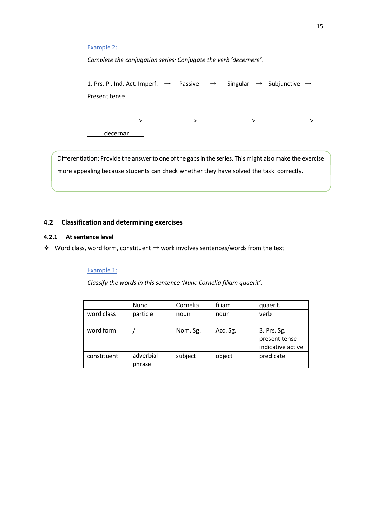# Example 2:

*Complete the conjugation series: Conjugate the verb 'decernere'.*

1. Prs. Pl. Ind. Act. Imperf.  $\rightarrow$  Passive  $\rightarrow$  Singular  $\rightarrow$  Subjunctive  $\rightarrow$ Present tense -->\_ -->\_ --> --> decernar

Differentiation: Provide the answer to one of the gaps in the series. Thismight also make the exercise more appealing because students can check whether they have solved the task correctly.

# <span id="page-18-0"></span>**4.2 Classification and determining exercises**

## <span id="page-18-1"></span>**4.2.1 At sentence level**

❖ Word class, word form, constituent → work involves sentences/words from the text

#### Example 1:

*Classify the words in this sentence 'Nunc Cornelia filiam quaerit'.*

|                        | <b>Nunc</b>         | Cornelia | filiam   | quaerit.                                          |
|------------------------|---------------------|----------|----------|---------------------------------------------------|
| word class<br>particle |                     | noun     | noun     | verb                                              |
| word form              |                     | Nom. Sg. | Acc. Sg. | 3. Prs. Sg.<br>present tense<br>indicative active |
| constituent            | adverbial<br>phrase | subject  | object   | predicate                                         |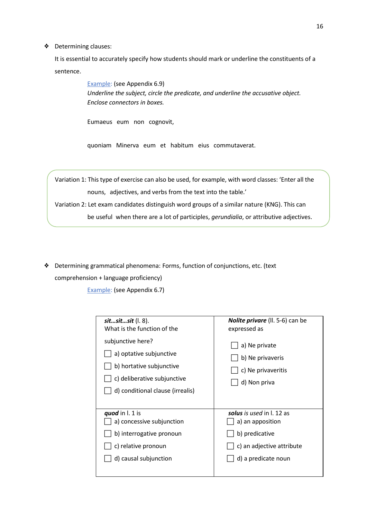# ❖ Determining clauses:

It is essential to accurately specify how students should mark or underline the constituents of a sentence.

> Example: (see Appendix [6.9\)](#page-28-1) *Underline the subject, circle the predicate, and underline the accusative object. Enclose connectors in boxes.*

Eumaeus eum non cognovit,

quoniam Minerva eum et habitum eius commutaverat.

Variation 1: This type of exercise can also be used, for example, with word classes: 'Enter all the nouns, adjectives, and verbs from the text into the table.'

Variation 2: Let exam candidates distinguish word groups of a similar nature (KNG). This can

be useful when there are a lot of participles, *gerundialia*, or attributive adjectives.

❖ Determining grammatical phenomena: Forms, function of conjunctions, etc. (text

comprehension + language proficiency)

Example: (see Appendix [6.7\)](#page-27-1)

| sitsitsit (l. 8).                                                                                                                           | <b>Nolite privare</b> (II. 5-6) can be                                  |
|---------------------------------------------------------------------------------------------------------------------------------------------|-------------------------------------------------------------------------|
| What is the function of the                                                                                                                 | expressed as                                                            |
| subjunctive here?<br>a) optative subjunctive<br>b) hortative subjunctive<br>c) deliberative subjunctive<br>d) conditional clause (irrealis) | a) Ne private<br>b) Ne privaveris<br>c) Ne privaveritis<br>d) Non priva |
| quod in l. 1 is                                                                                                                             | solus is used in l. 12 as                                               |
| a) concessive subjunction                                                                                                                   | a) an apposition                                                        |
| b) interrogative pronoun                                                                                                                    | b) predicative                                                          |
| c) relative pronoun                                                                                                                         | c) an adjective attribute                                               |
| d) causal subjunction                                                                                                                       | d) a predicate noun                                                     |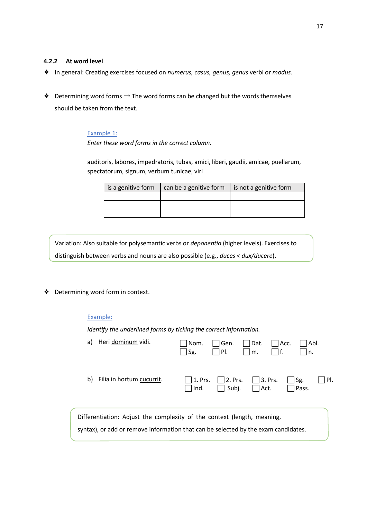# <span id="page-20-0"></span>**4.2.2 At word level**

- ❖ In general: Creating exercises focused on *numerus, casus, genus, genus* verbi or *modus*.
- $♦$  Determining word forms  $→$  The word forms can be changed but the words themselves should be taken from the text.

#### Example 1:

*Enter these word forms in the correct column.*

auditoris, labores, impedratoris, tubas, amici, liberi, gaudii, amicae, puellarum, spectatorum, signum, verbum tunicae, viri

| is a genitive form | can be a genitive form | is not a genitive form |
|--------------------|------------------------|------------------------|
|                    |                        |                        |
|                    |                        |                        |
|                    |                        |                        |

Variation: Also suitable for polysemantic verbs or *deponentia* (higher levels). Exercises to distinguish between verbs and nouns are also possible (e.g., *duces < dux/ducere*).

❖ Determining word form in context.

# Example:

*Identify the underlined forms by ticking the correct information.*

| a)                                                                                                                                                            | Heri dominum vidi.        | l Nom.<br>Sg. | Gen.<br>PI.                                                  | $\vert$   Dat.<br>m. | $\vert$   Acc. | l Abl.<br>۱n.       |        |
|---------------------------------------------------------------------------------------------------------------------------------------------------------------|---------------------------|---------------|--------------------------------------------------------------|----------------------|----------------|---------------------|--------|
| b)                                                                                                                                                            | Filia in hortum cucurrit. | $\lceil$ lnd. | $\Box$ 1. Prs. $\Box$ 2. Prs. $\Box$ 3. Prs.<br>$\Box$ Subj. | $ $   Act.           |                | $\Box$ Sg.<br>Pass. | I IPI. |
| Differentiation: Adjust the complexity of the context (length, meaning,<br>syntax), or add or remove information that can be selected by the exam candidates. |                           |               |                                                              |                      |                |                     |        |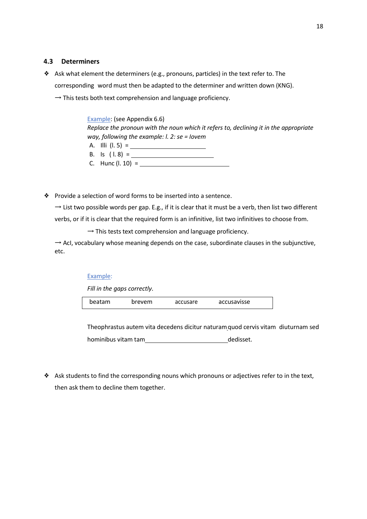# <span id="page-21-0"></span>**4.3 Determiners**

- ❖ Ask what element the determiners (e.g., pronouns, particles) in the text refer to. The corresponding word must then be adapted to the determiner and written down (KNG).
	- $\rightarrow$  This tests both text comprehension and language proficiency.

| Example: (see Appendix 6.6)                                                           |
|---------------------------------------------------------------------------------------|
| Replace the pronoun with the noun which it refers to, declining it in the appropriate |
| way, following the example: $l. 2$ : se = lovem                                       |
| A. Illi (l. 5) =                                                                      |
| B. Is $(1.8) =$                                                                       |
| C. Hunc (l. 10) =                                                                     |

❖ Provide a selection of word forms to be inserted into a sentence.

 $\rightarrow$  List two possible words per gap. E.g., if it is clear that it must be a verb, then list two different verbs, or if it is clear that the required form is an infinitive, list two infinitives to choose from.

 $\rightarrow$  This tests text comprehension and language proficiency.

 $\rightarrow$  AcI, vocabulary whose meaning depends on the case, subordinate clauses in the subjunctive, etc.

# Example:

*Fill in the gaps correctly*.

beatam brevem accusare accusavisse

Theophrastus autem vita decedens dicitur naturamquod cervis vitam diuturnam sed hominibus vitam tam dedisset.

❖ Ask students to find the corresponding nouns which pronouns or adjectives refer to in the text, then ask them to decline them together.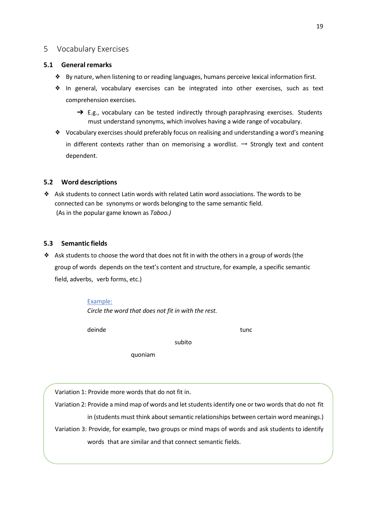# <span id="page-22-0"></span>5 Vocabulary Exercises

# **5.1 General remarks**

- ❖ By nature, when listening to or reading languages, humans perceive lexical information first.
- ❖ In general, vocabulary exercises can be integrated into other exercises, such as text comprehension exercises.
	- $\rightarrow$  E.g., vocabulary can be tested indirectly through paraphrasing exercises. Students must understand synonyms, which involves having a wide range of vocabulary.
- ❖ Vocabulary exercises should preferably focus on realising and understanding a word's meaning in different contexts rather than on memorising a wordlist.  $\rightarrow$  Strongly text and content dependent.

# <span id="page-22-1"></span>**5.2 Word descriptions**

❖ Ask students to connect Latin words with related Latin word associations. The words to be connected can be synonyms or words belonging to the same semantic field. (As in the popular game known as *Taboo.)*

# <span id="page-22-2"></span>**5.3 Semantic fields**

❖ Ask students to choose the word that does not fit in with the others in a group of words (the group of words depends on the text's content and structure, for example, a specific semantic field, adverbs, verb forms, etc.)

subito

# Example:

*Circle the word that does not fit in with the rest.*

deinde tunc

quoniam

Variation 1: Provide more words that do not fit in.

Variation 2: Provide a mind map of words and letstudents identify one or two words that do not fit

in (students must think about semantic relationships between certain word meanings.) Variation 3: Provide, for example, two groups or mind maps of words and ask students to identify

words that are similar and that connect semantic fields.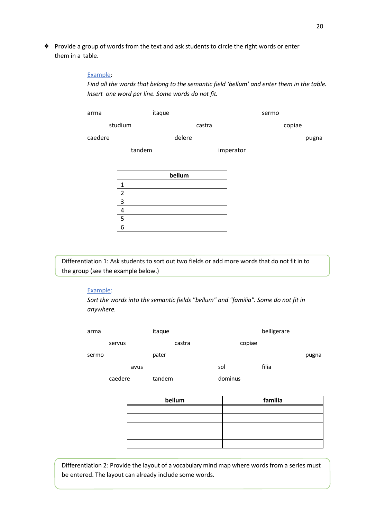❖ Provide a group of words from the text and ask students to circle the right words or enter them in a table.

#### Example:

*Find all the words that belong to the semantic field 'bellum' and enter them in the table. Insert one word per line. Some words do not fit.*

| arma    | itaque |           | sermo  |       |
|---------|--------|-----------|--------|-------|
| studium | castra |           | copiae |       |
| caedere | delere |           |        | pugna |
| tandem  |        | imperator |        |       |

|   | bellum |
|---|--------|
|   |        |
| 2 |        |
| ╕ |        |
|   |        |
| 5 |        |
| L |        |

Differentiation 1: Ask students to sort out two fields or add more words that do not fit in to the group (see the example below.)

#### Example:

*Sort the words into the semantic fields "bellum" and "familia". Some do not fit in anywhere.*

| arma  |         | itaque |         | belligerare |       |
|-------|---------|--------|---------|-------------|-------|
|       | servus  | castra | copiae  |             |       |
| sermo |         | pater  |         |             | pugna |
|       | avus    |        | sol     | filia       |       |
|       | caedere | tandem | dominus |             |       |

| bellum | familia |
|--------|---------|
|        |         |
|        |         |
|        |         |
|        |         |
|        |         |

Differentiation 2: Provide the layout of a vocabulary mind map where words from a series must be entered. The layout can already include some words.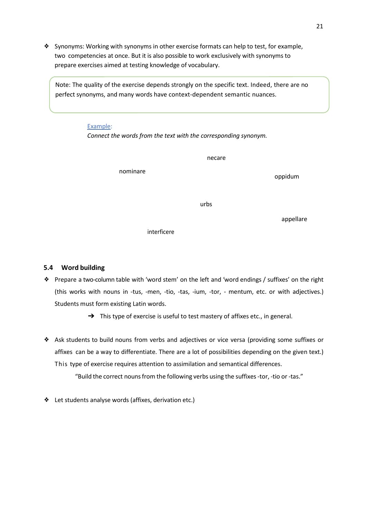❖ Synonyms: Working with synonyms in other exercise formats can help to test, for example, two competencies at once. But it is also possible to work exclusively with synonyms to prepare exercises aimed at testing knowledge of vocabulary.

Note: The quality of the exercise depends strongly on the specific text. Indeed, there are no perfect synonyms, and many words have context-dependent semantic nuances.

#### Example:

*Connect the words from the text with the corresponding synonym.*

|             | necare |           |
|-------------|--------|-----------|
| nominare    |        | oppidum   |
|             | urbs   |           |
| interficere |        | appellare |

# <span id="page-24-0"></span>**5.4 Word building**

- ❖ Prepare a two-column table with 'word stem' on the left and 'word endings / suffixes' on the right (this works with nouns in -tus, -men, -tio, -tas, -ium, -tor, - mentum, etc. or with adjectives.) Students must form existing Latin words.
	- → This type of exercise is useful to test mastery of affixes etc., in general.
- ❖ Ask students to build nouns from verbs and adjectives or vice versa (providing some suffixes or affixes can be a way to differentiate. There are a lot of possibilities depending on the given text.) This type of exercise requires attention to assimilation and semantical differences.

"Build the correct nouns from the following verbs using the suffixes -tor, -tio or -tas."

❖ Let students analyse words (affixes, derivation etc.)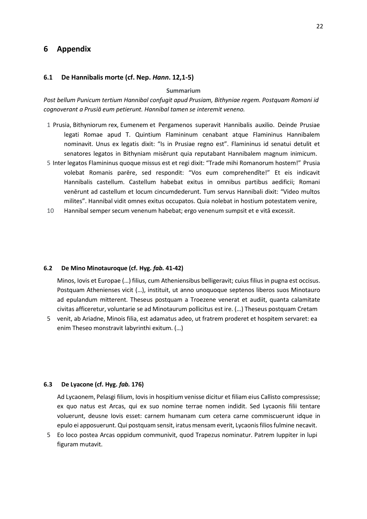# <span id="page-25-0"></span>**6 Appendix**

#### <span id="page-25-1"></span>**6.1 De Hannibalis morte (cf. Nep.** *Hann***. 12,1-5)**

#### **Summarium**

*Post bellum Punicum tertium Hannibal confugit apud Prusiam, Bithyniae regem. Postquam Romani id cognoverant a Prusiā eum petierunt. Hannibal tamen se interemit veneno.*

- 1 Prusia, Bithyniorum rex, Eumenem et Pergamenos superavit Hannibalis auxilio. Deinde Prusiae legati Romae apud T. Quintium Flamininum cenabant atque Flamininus Hannibalem nominavit. Unus ex legatis dixit: "Is in Prusiae regno est". Flamininus id senatui detulit et senatores legatos in Bithyniam misērunt quia reputabant Hannibalem magnum inimicum.
- 5 Inter legatos Flamininus quoque missus est et regi dixit: "Trade mihi Romanorum hostem!" Prusia volebat Romanis parēre, sed respondit: "Vos eum comprehendĭte!" Et eis indicavit Hannibalis castellum. Castellum habebat exitus in omnibus partibus aedificii; Romani venērunt ad castellum et locum cincumdederunt. Tum servus Hannibali dixit: "Video multos milites". Hannibal vidit omnes exitus occupatos. Quia nolebat in hostium potestatem venire,
- 10 Hannibal semper secum venenum habebat; ergo venenum sumpsit et e vitā excessit.

#### <span id="page-25-2"></span>**6.2 De Mino Minotauroque (cf. Hyg.** *fab.* **41-42)**

Minos, Iovis et Europae (…) filius, cum Atheniensibus belligeravit; cuius filius in pugna est occisus. Postquam Athenienses vicit (…), instituit, ut anno unoquoque septenos liberos suos Minotauro ad epulandum mitterent. Theseus postquam a Troezene venerat et audiit, quanta calamitate civitas afficeretur, voluntarie se ad Minotaurum pollicitus est ire. (…) Theseus postquam Cretam

5 venit, ab Ariadne, Minois filia, est adamatus adeo, ut fratrem proderet et hospitem servaret: ea enim Theseo monstravit labyrinthi exitum. (…)

#### <span id="page-25-3"></span>**6.3 De Lyacone (cf. Hyg.** *fab.* **176)**

Ad Lycaonem, Pelasgi filium, Iovis in hospitium venisse dicitur et filiam eius Callisto compressisse; ex quo natus est Arcas, qui ex suo nomine terrae nomen indidit. Sed Lycaonis filii tentare voluerunt, deusne Iovis esset: carnem humanam cum cetera carne commiscuerunt idque in epulo ei apposuerunt. Qui postquam sensit, iratus mensam everit, Lycaonis filios fulmine necavit.

5 Eo loco postea Arcas oppidum communivit, quod Trapezus nominatur. Patrem Iuppiter in lupi figuram mutavit.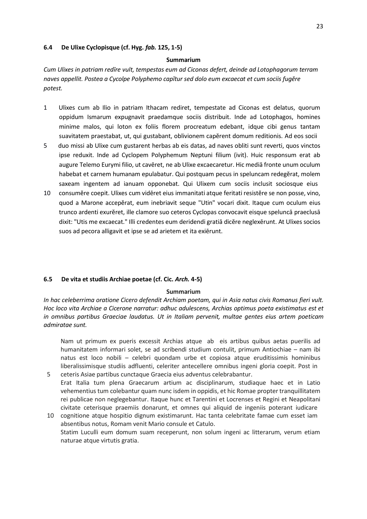### <span id="page-26-0"></span>**6.4 De Ulixe Cyclopisque (cf. Hyg.** *fab.* **125, 1-5)**

#### **Summarium**

*Cum Ulixes in patriam redīre vult, tempestas eum ad Ciconas defert, deinde ad Lotophagorum terram naves appellit. Postea a Cycolpe Polyphemo capĭtur sed dolo eum excaecat et cum sociis fugĕre potest.*

- 1 Ulixes cum ab Ilio in patriam Ithacam rediret, tempestate ad Ciconas est delatus, quorum oppidum Ismarum expugnavit praedamque sociis distribuit. Inde ad Lotophagos, homines minime malos, qui loton ex foliis florem procreatum edebant, idque cibi genus tantam suavitatem praestabat, ut, qui gustabant, oblivionem capĕrent domum reditionis. Ad eos socii
- 5 duo missi ab Ulixe cum gustarent herbas ab eis datas, ad naves obliti sunt reverti, quos vinctos ipse reduxit. Inde ad Cyclopem Polyphemum Neptuni filium (ivit). Huic responsum erat ab augure Telemo Eurymi filio, ut cavēret, ne ab Ulixe excaecaretur. Hic mediā fronte unum oculum habebat et carnem humanam epulabatur. Qui postquam pecus in speluncam redegĕrat, molem saxeam ingentem ad ianuam opponebat. Qui Ulixem cum sociis inclusit sociosque eius
- 10 consumĕre coepit. Ulixes cum vidēret eius immanitati atque feritati resistĕre se non posse, vino, quod a Marone accepĕrat, eum inebriavit seque "Utin" vocari dixit. Itaque cum oculum eius trunco ardenti exurĕret, ille clamore suo ceteros Cyclopas convocavit eisque speluncā praeclusā dixit: "Utis me excaecat." Illi credentes eum deridendi gratiā dicĕre neglexērunt. At Ulixes socios suos ad pecora alligavit et ipse se ad arietem et ita exiērunt.

# <span id="page-26-1"></span>**6.5 De vita et studiis Archiae poetae (cf. Cic.** *Arch.* **4-5)**

# **Summarium**

*In hac celeberrima oratione Cicero defendit Archiam poetam, qui in Asia natus civis Romanus fieri vult. Hoc loco vita Archiae a Cicerone narratur: adhuc adulescens, Archias optimus poeta existimatus est et in omnibus partibus Graeciae laudatus. Ut in Italiam pervenit, multae gentes eius artem poeticam admiratae sunt.*

Nam ut primum ex pueris excessit Archias atque ab eis artibus quibus aetas puerilis ad humanitatem informari solet, se ad scribendi studium contulit, primum Antiochiae – nam ibi natus est loco nobili – celebri quondam urbe et copiosa atque eruditissimis hominibus liberalissimisque studiis adfluenti, celeriter antecellere omnibus ingeni gloria coepit. Post in 5 ceteris Asiae partibus cunctaque Graecia eius adventus celebrabantur.

- Erat Italia tum plena Graecarum artium ac disciplinarum, studiaque haec et in Latio vehementius tum colebantur quam nunc isdem in oppidis, et hic Romae propter tranquillitatem rei publicae non neglegebantur. Itaque hunc et Tarentini et Locrenses et Regini et Neapolitani civitate ceterisque praemiis donarunt, et omnes qui aliquid de ingeniis poterant iudicare
- 10 cognitione atque hospitio dignum existimarunt. Hac tanta celebritate famae cum esset iam absentibus notus, Romam venit Mario consule et Catulo. Statim Luculli eum domum suam receperunt, non solum ingeni ac litterarum, verum etiam naturae atque virtutis gratia.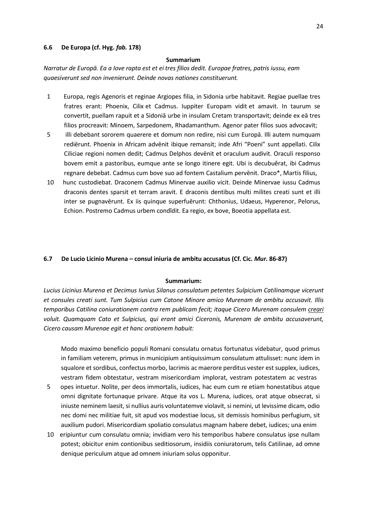### <span id="page-27-0"></span>**6.6 De Europa (cf. Hyg.** *fab.* **178)**

#### **Summarium**

*Narratur de Europā. Ea a Iove rapta est et ei tres filios dedit. Europae fratres, patris iussu, eam quaesiverunt sed non invenierunt. Deinde novas nationes constituerunt.*

- 1 Europa, regis Agenoris et reginae Argiopes filia, in Sidonia urbe habitavit. Regiae puellae tres fratres erant: Phoenix, Cilix et Cadmus. Iuppiter Europam vidit et amavit. In taurum se convertit, puellam rapuit et a Sidoniā urbe in insulam Cretam transportavit; deinde ex eā tres filios procreavit: Minoem, Sarpedonem, Rhadamanthum. Agenor pater filios suos advocavit;
- 5 illi debebant sororem quaerere et domum non redire, nisi cum Europā. Illi autem numquam rediērunt. Phoenix in Africam advēnit ibique remansit; inde Afri "Poeni" sunt appellati. Cilix Ciliciae regioni nomen dedit; Cadmus Delphos devēnit et oraculum audivit. Oraculi responso bovem emit a pastoribus, eumque ante se longo itinere egit. Ubi is decubuĕrat, ibi Cadmus regnare debebat. Cadmus cum bove suo ad fontem Castalium pervēnit. Draco\*, Martis filius,
- 10 hunc custodiebat. Draconem Cadmus Minervae auxilio vicit. Deinde Minervae iussu Cadmus draconis dentes sparsit et terram aravit. E draconis dentibus multi milites creati sunt et illi inter se pugnavērunt. Ex iis quinque superfuērunt: Chthonius, Udaeus, Hyperenor, Pelorus, Echion. Postremo Cadmus urbem condĭdit. Ea regio, ex bove, Boeotia appellata est.

#### <span id="page-27-1"></span>**6.7 De Lucio Licinio Murena – consul iniuria de ambitu accusatus (Cf. Cic.** *Mur.* **86-87)**

#### **Summarium:**

*Lucius Licinius Murena et Decimus Iunius Silanus consulatum petentes Sulpicium Catilinamque vicerunt et consules creati sunt. Tum Sulpicius cum Catone Minore amico Murenam de ambitu accusavit. Illis temporibus Catilina coniurationem contra rem publicam fecit; itaque Cicero Murenam consulem creari voluit. Quamquam Cato et Sulpicius, qui erant amici Ciceronis, Murenam de ambitu accusaverunt, Cicero causam Murenae egit et hanc orationem habuit:*

Modo maximo beneficio populi Romani consulatu ornatus fortunatus videbatur, quod primus in familiam veterem, primus in municipium antiquissimum consulatum attulisset: nunc idem in squalore et sordibus, confectus morbo, lacrimis ac maerore perditus vester est supplex, iudices, vestram fidem obtestatur, vestram misericordiam implorat, vestram potestatem ac vestras

- 5 opes intuetur. Nolite, per deos immortalis, iudices, hac eum cum re etiam honestatibus atque omni dignitate fortunaque privare. Atque ita vos L. Murena, iudices, orat atque obsecrat, si iniuste neminem laesit, si nullius auris voluntatemve violavit, si nemini, ut levissime dicam, odio nec domi nec militiae fuit, sit apud vos modestiae locus, sit demissis hominibus perfugium, sit auxilium pudori. Misericordiam spoliatio consulatus magnam habere debet, iudices; una enim
- 10 eripiuntur cum consulatu omnia; invidiam vero his temporibus habere consulatus ipse nullam potest; obicitur enim contionibus seditiosorum, insidiis coniuratorum, telis Catilinae, ad omne denique periculum atque ad omnem iniuriam solus opponitur.